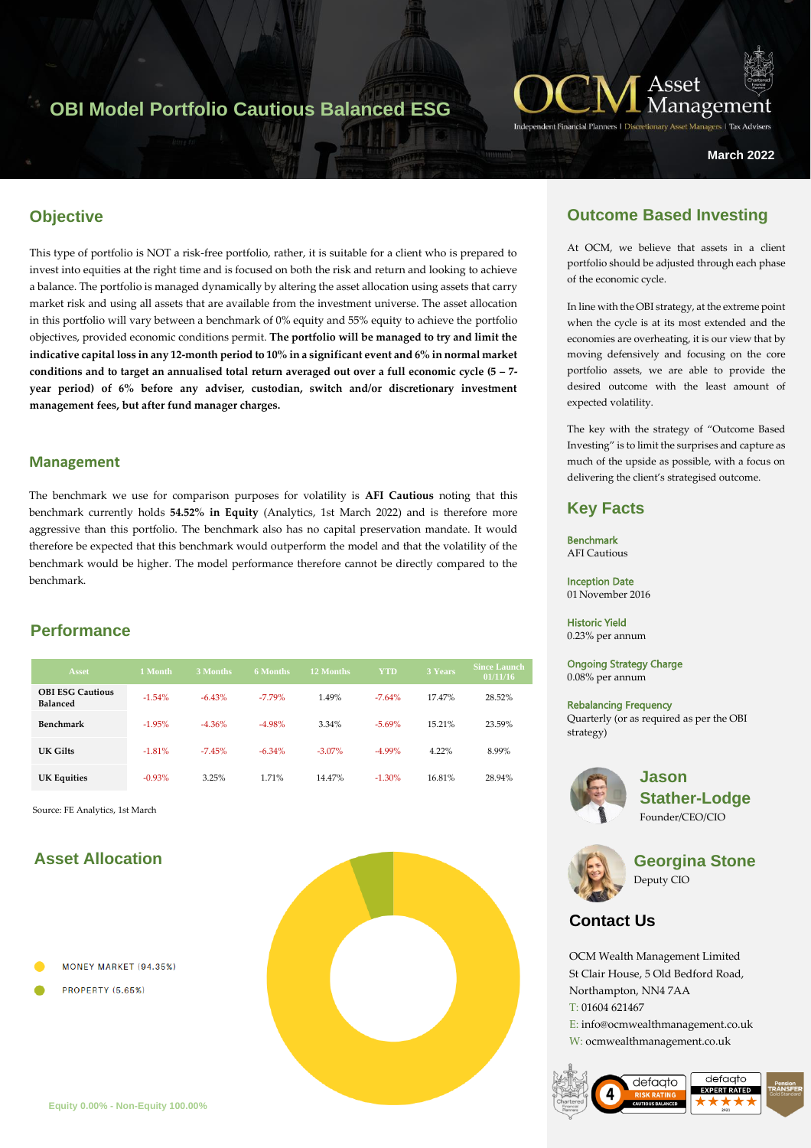# **OBI Model Portfolio Cautious Balanced ESG**



**March 2022**

## **Objective**

hagy<br>Karl Stock This type of portfolio is NOT a risk-free portfolio, rather, it is suitable for a client who is prepared to invest into equities at the right time and is focused on both the risk and return and looking to achieve a balance. The portfolio is managed dynamically by altering the asset allocation using assets that carry market risk and using all assets that are available from the investment universe. The asset allocation in this portfolio will vary between a benchmark of 0% equity and 55% equity to achieve the portfolio objectives, provided economic conditions permit. **The portfolio will be managed to try and limit the indicative capital loss in any 12-month period to 10% in a significant event and 6% in normal market conditions and to target an annualised total return averaged out over a full economic cycle (5 – 7 year period) of 6% before any adviser, custodian, switch and/or discretionary investment management fees, but after fund manager charges.**

#### **Management**

The benchmark we use for comparison purposes for volatility is **AFI Cautious** noting that this benchmark currently holds **54.52% in Equity** (Analytics, 1st March 2022) and is therefore more aggressive than this portfolio. The benchmark also has no capital preservation mandate. It would therefore be expected that this benchmark would outperform the model and that the volatility of the benchmark would be higher. The model performance therefore cannot be directly compared to the benchmark.

### **Performance**

| <b>Asset</b>                               | 1 Month  | 3 Months | <b>6 Months</b> | 12 Months | <b>YTD</b> | 3 Years  | <b>Since Launch</b><br>01/11/16 |
|--------------------------------------------|----------|----------|-----------------|-----------|------------|----------|---------------------------------|
| <b>OBI ESG Cautious</b><br><b>Balanced</b> | $-1.54%$ | $-6.43%$ | $-7.79\%$       | 1.49%     | $-7.64%$   | 17.47%   | 28.52%                          |
| Benchmark                                  | $-1.95%$ | $-4.36%$ | $-4.98%$        | 3.34%     | $-5.69%$   | 15.21%   | 23.59%                          |
| UK Gilts                                   | $-1.81%$ | $-7.45%$ | $-6.34\%$       | $-3.07\%$ | $-4.99%$   | $4.22\%$ | 8.99%                           |
| <b>UK Equities</b>                         | $-0.93%$ | 3.25%    | 1.71%           | 14.47%    | $-1.30%$   | 16.81%   | 28.94%                          |

Source: FE Analytics, 1st March

# **Asset Allocation**

- MONEY MARKET (94.35%)
- **PROPERTY (5.65%)**



# **Outcome Based Investing**

At OCM, we believe that assets in a client portfolio should be adjusted through each phase of the economic cycle.

In line with the OBI strategy, at the extreme point when the cycle is at its most extended and the economies are overheating, it is our view that by moving defensively and focusing on the core portfolio assets, we are able to provide the desired outcome with the least amount of expected volatility.

The key with the strategy of "Outcome Based Investing" is to limit the surprises and capture as much of the upside as possible, with a focus on delivering the client's strategised outcome.

### **Key Facts**

Benchmark AFI Cautious

Inception Date 01 November 2016

Historic Yield

0.23% per annum

Ongoing Strategy Charge 0.08% per annum

#### Rebalancing Frequency

Quarterly (or as required as per the OBI strategy)



**Jason Stather-Lodge** Founder/CEO/CIO



**Georgina Stone** Deputy CIO

# **Contact Us**

OCM Wealth Management Limited St Clair House, 5 Old Bedford Road, Northampton, NN4 7AA T: 01604 621467 E: info@ocmwealthmanagement.co.uk W: ocmwealthmanagement.co.uk